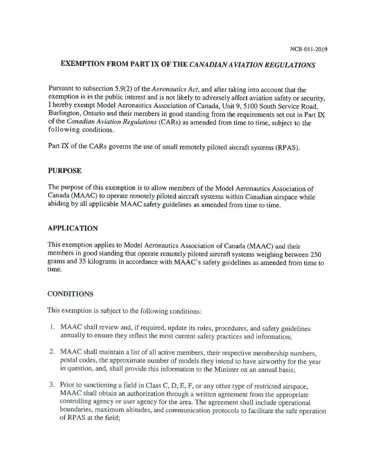# EXEMPTION FROM PART IX OF THE CANADIAN AVIATION REGULATIONS

Pursuant to subsection 5.9(2) of the Aeronautics Act, and after taking into account that the exemption is in the public interest and is not likely to adversely affect aviation safety or security, I hereby exempt Model Aeronautics Association of Canada, Unit 9, 5100 South Service Road, Burlington, Ontario and their members in good standing from the requirements set out in Part IX of the Canadian Aviation Regulations (CARs) as amended from time to time, subject to the following conditions.

Part IX of the CARs governs the use of small remotely piloted aircraft systems (RPAS).

### PURPOSE

The purpose of this exemption is to allow members of the Model Aeronautics Association of Canada (MAAC) to operate remotely piloted aircraft systems within Canadian airspace while abiding by all applicable MAAC safety guidelines as amended from time to time.

## APPLICATION

This exemption applies to Model Aeronautics Association of Canada (MAAC) and lheii members in good standing that operate remotely piloted aircraft systems weighing between 250 grams and <sup>35</sup> kilograms in accordance with MAAC's safety guidelines as amended from time to time.

## **CONDITIONS**

This exemption is subject to the following conditions:

- 1. MAAC shall review and, if required, update its rules, procedures, and safety guidelines annually to ensure they reflect the most current safety practices and information;
- 2. MAAC shall maintain <sup>a</sup> list of all active members, their respective membership numbers, postal codes, the approximate number of models they intend to have airworthy for the year in question, and, shall provide this information to the Minister on an annual basis;
- 3. Prior to sanctioning <sup>a</sup> field in Class C, D, E, F, or any other type of restricted airspace, MAAC shall obtain an authorization through <sup>a</sup> written agreement from the appropriate controlling agency or user agency for the area. The agreement shall include operational boundaries, maximum altitudes, and communication protocols to facilitate the safe operation of RPAS at the field;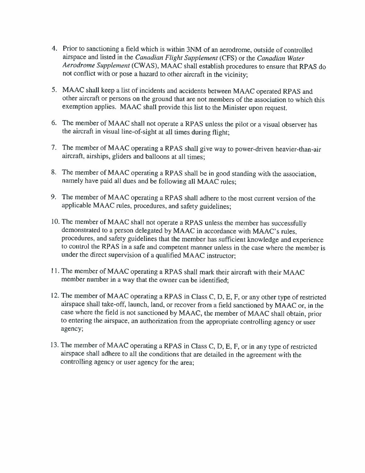- 4. Prior to sanctioning <sup>a</sup> field which is within 3NM of an aerodrome, outside of controlled airspace and listed in the Canadian Flight Supplement (CFS) or the Canadian Water Aerodrome Supplement (CWAS), MAAC shall establish procedures to ensure that RPAS do not conflict with or pose <sup>a</sup> hazard to other aircraft in the vicinity;
- 5. MAAC shall keep <sup>a</sup> list of incidents and accidents between MAAC operated RPAS and other aircraft or persons on the ground that are not members of the association to which this exemption applies. MAAC shall provide this list to the Minister upon request.
- 6. The member of MAAC shall not operate <sup>a</sup> RPAS unless the pilot or <sup>a</sup> visual observer has the aircraft in visual line-of-sight at all times during flight;
- 7. The member of MAAC operating <sup>a</sup> RPAS shall give way to power-driven heavier-than-air aircraft, airships, gliders and balloons at all times;
- 8. The member of MAAC operating <sup>a</sup> RPAS shall be in good standing with the association, namely have paid all dues and be following all MAAC rules;
- 9. The member of MAAC operating <sup>a</sup> RPAS shall adhere to the most current version of the applicable MAAC rules, procedures, and safety guidelines;
- 10. The member of MAAC shall not operate <sup>a</sup> RPAS unless the member has successfully demonstrated to <sup>a</sup> person delegated by MAAC in accordance with MAAC's rules, procedures, and safety guidelines that the member has sufficient knowledge and experience to control the RPAS in <sup>a</sup> safe and competent manner unless in the case where the member is under the direct supervision of <sup>a</sup> qualified MAAC instructor;
- 11. The member of MAAC operating <sup>a</sup> RPAS shall mark their aircraft with their MAAC member number in <sup>a</sup> way that the owner can be identified;
- 12. The member of MAAC operating <sup>a</sup> RPAS in Class C, D, E, F, or any other type of restricted airspace shall take-off, launch, land, or recover from <sup>a</sup> field sanctioned by MAAC or, in the case where the field is not sanctioned by MAAC, the member of MAAC shall obtain, prior to entering the airspace, an authorization from the appropriate controlling agency or user agency;
- 13. The member of MAAC operating <sup>a</sup> RPAS in Class C, D, E, F, or in any type of restricted airspace shall adhere to all the conditions that are detailed in the agreement with the controlling agency or user agency for the area;